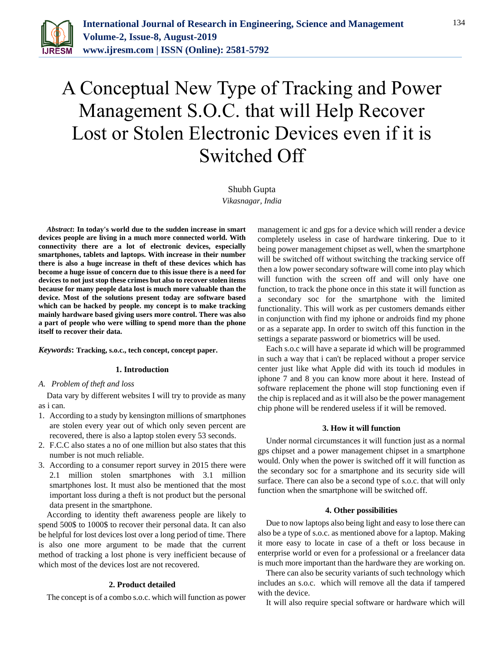

# A Conceptual New Type of Tracking and Power Management S.O.C. that will Help Recover Lost or Stolen Electronic Devices even if it is Switched Off

## Shubh Gupta

*Vikasnagar, India*

*Abstract***: In today's world due to the sudden increase in smart devices people are living in a much more connected world. With connectivity there are a lot of electronic devices, especially smartphones, tablets and laptops. With increase in their number there is also a huge increase in theft of these devices which has become a huge issue of concern due to this issue there is a need for devices to not just stop these crimes but also to recover stolen items because for many people data lost is much more valuable than the device. Most of the solutions present today are software based which can be hacked by people. my concept is to make tracking mainly hardware based giving users more control. There was also a part of people who were willing to spend more than the phone itself to recover their data.**

*Keywords***: Tracking, s.o.c., tech concept, concept paper.**

#### **1. Introduction**

*A. Problem of theft and loss*

Data vary by different websites I will try to provide as many as i can.

- 1. According to a study by kensington millions of smartphones are stolen every year out of which only seven percent are recovered, there is also a laptop stolen every 53 seconds.
- 2. F.C.C also states a no of one million but also states that this number is not much reliable.
- 3. According to a consumer report survey in 2015 there were 2.1 million stolen smartphones with 3.1 million smartphones lost. It must also be mentioned that the most important loss during a theft is not product but the personal data present in the smartphone.

According to identity theft awareness people are likely to spend 500\$ to 1000\$ to recover their personal data. It can also be helpful for lost devices lost over a long period of time. There is also one more argument to be made that the current method of tracking a lost phone is very inefficient because of which most of the devices lost are not recovered.

## **2. Product detailed**

The concept is of a combo s.o.c. which will function as power

management ic and gps for a device which will render a device completely useless in case of hardware tinkering. Due to it being power management chipset as well, when the smartphone will be switched off without switching the tracking service off then a low power secondary software will come into play which will function with the screen off and will only have one function, to track the phone once in this state it will function as a secondary soc for the smartphone with the limited functionality. This will work as per customers demands either in conjunction with find my iphone or androids find my phone or as a separate app. In order to switch off this function in the settings a separate password or biometrics will be used.

Each s.o.c will have a separate id which will be programmed in such a way that i can't be replaced without a proper service center just like what Apple did with its touch id modules in iphone 7 and 8 you can know more about it here. Instead of software replacement the phone will stop functioning even if the chip is replaced and as it will also be the power management chip phone will be rendered useless if it will be removed.

#### **3. How it will function**

Under normal circumstances it will function just as a normal gps chipset and a power management chipset in a smartphone would. Only when the power is switched off it will function as the secondary soc for a smartphone and its security side will surface. There can also be a second type of s.o.c. that will only function when the smartphone will be switched off.

#### **4. Other possibilities**

Due to now laptops also being light and easy to lose there can also be a type of s.o.c. as mentioned above for a laptop. Making it more easy to locate in case of a theft or loss because in enterprise world or even for a professional or a freelancer data is much more important than the hardware they are working on.

There can also be security variants of such technology which includes an s.o.c. which will remove all the data if tampered with the device.

It will also require special software or hardware which will